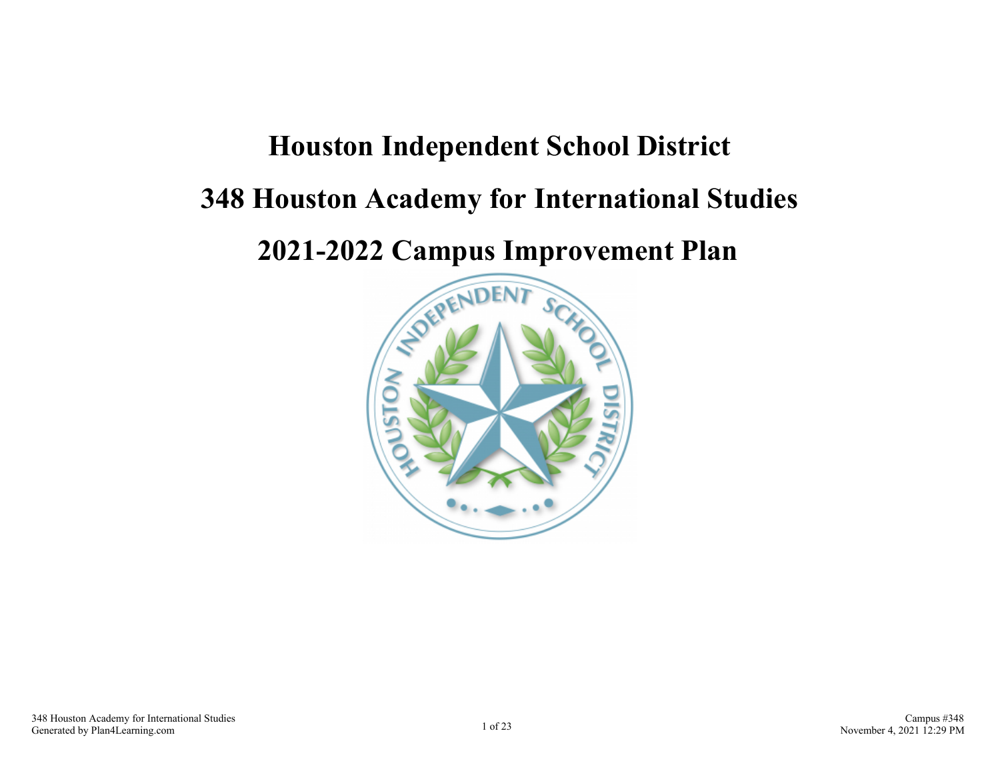## **Houston Independent School District**

## **348 Houston Academy for International Studies**

**2021-2022 Campus Improvement Plan**

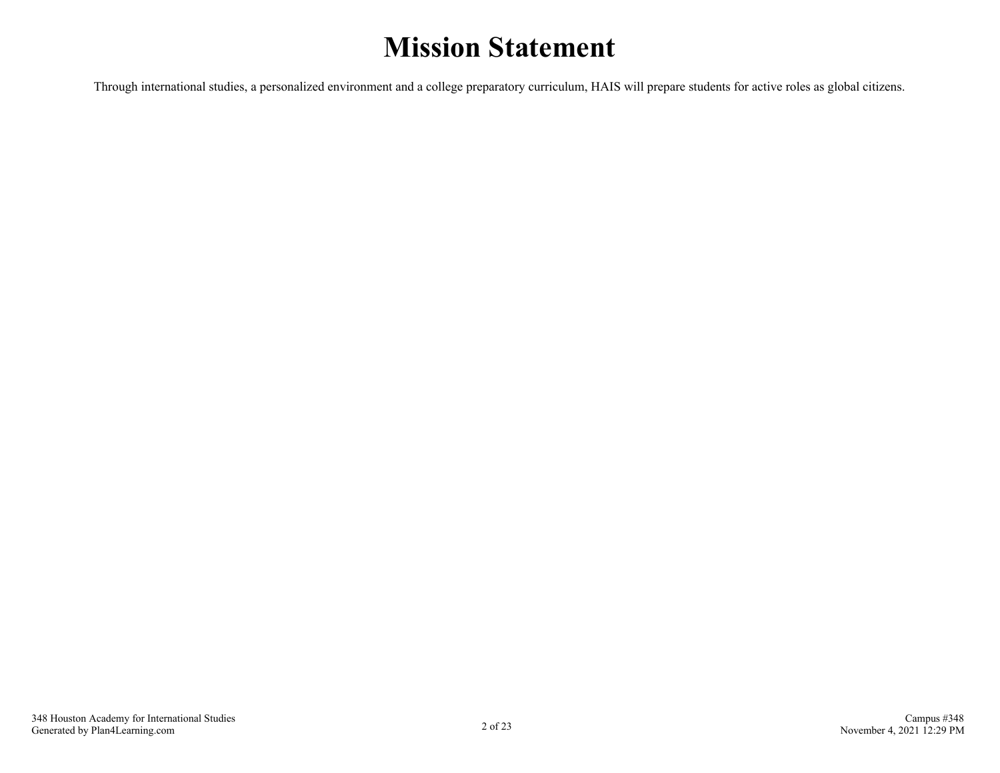## **Mission Statement**

Through international studies, a personalized environment and a college preparatory curriculum, HAIS will prepare students for active roles as global citizens.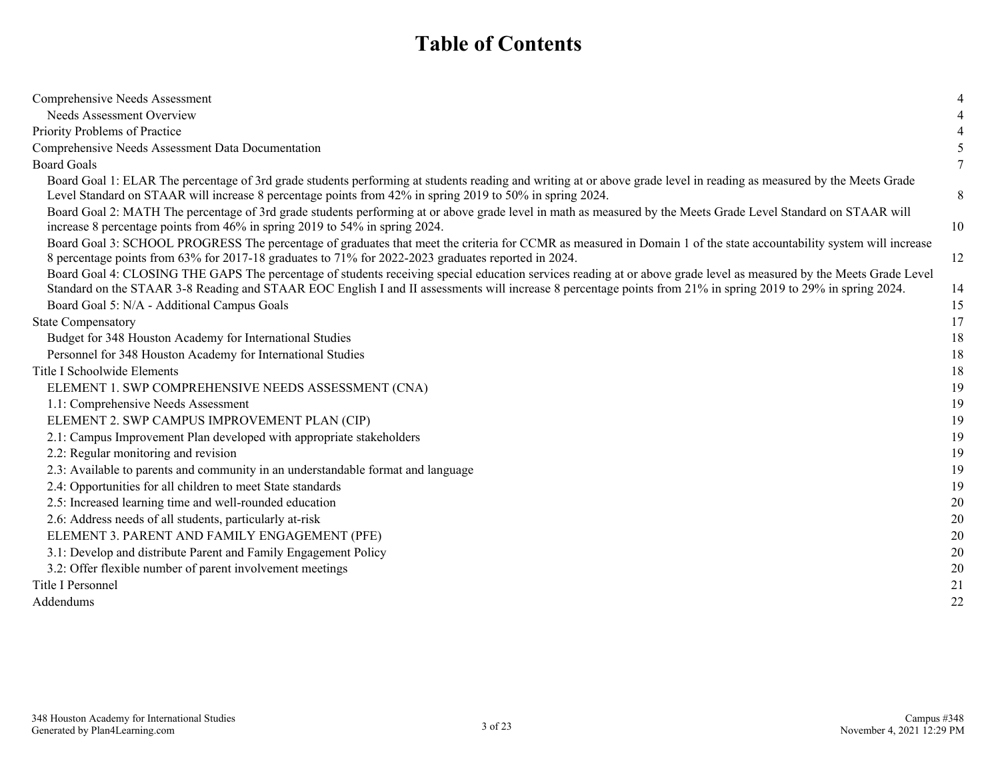## **Table of Contents**

| Comprehensive Needs Assessment                                                                                                                                                                                                                                                                                                       |    |
|--------------------------------------------------------------------------------------------------------------------------------------------------------------------------------------------------------------------------------------------------------------------------------------------------------------------------------------|----|
| Needs Assessment Overview                                                                                                                                                                                                                                                                                                            |    |
| Priority Problems of Practice                                                                                                                                                                                                                                                                                                        |    |
| Comprehensive Needs Assessment Data Documentation                                                                                                                                                                                                                                                                                    |    |
| <b>Board Goals</b>                                                                                                                                                                                                                                                                                                                   |    |
| Board Goal 1: ELAR The percentage of 3rd grade students performing at students reading and writing at or above grade level in reading as measured by the Meets Grade<br>Level Standard on STAAR will increase 8 percentage points from 42% in spring 2019 to 50% in spring 2024.                                                     | 8  |
| Board Goal 2: MATH The percentage of 3rd grade students performing at or above grade level in math as measured by the Meets Grade Level Standard on STAAR will<br>increase 8 percentage points from 46% in spring 2019 to 54% in spring 2024.                                                                                        | 10 |
| Board Goal 3: SCHOOL PROGRESS The percentage of graduates that meet the criteria for CCMR as measured in Domain 1 of the state accountability system will increase<br>8 percentage points from 63% for 2017-18 graduates to 71% for 2022-2023 graduates reported in 2024.                                                            | 12 |
| Board Goal 4: CLOSING THE GAPS The percentage of students receiving special education services reading at or above grade level as measured by the Meets Grade Level<br>Standard on the STAAR 3-8 Reading and STAAR EOC English I and II assessments will increase 8 percentage points from 21% in spring 2019 to 29% in spring 2024. | 14 |
| Board Goal 5: N/A - Additional Campus Goals                                                                                                                                                                                                                                                                                          | 15 |
| <b>State Compensatory</b>                                                                                                                                                                                                                                                                                                            | 17 |
| Budget for 348 Houston Academy for International Studies                                                                                                                                                                                                                                                                             | 18 |
| Personnel for 348 Houston Academy for International Studies                                                                                                                                                                                                                                                                          | 18 |
| Title I Schoolwide Elements                                                                                                                                                                                                                                                                                                          | 18 |
| ELEMENT 1. SWP COMPREHENSIVE NEEDS ASSESSMENT (CNA)                                                                                                                                                                                                                                                                                  | 19 |
| 1.1: Comprehensive Needs Assessment                                                                                                                                                                                                                                                                                                  | 19 |
| ELEMENT 2. SWP CAMPUS IMPROVEMENT PLAN (CIP)                                                                                                                                                                                                                                                                                         | 19 |
| 2.1: Campus Improvement Plan developed with appropriate stakeholders                                                                                                                                                                                                                                                                 | 19 |
| 2.2: Regular monitoring and revision                                                                                                                                                                                                                                                                                                 | 19 |
| 2.3: Available to parents and community in an understandable format and language                                                                                                                                                                                                                                                     | 19 |
| 2.4: Opportunities for all children to meet State standards                                                                                                                                                                                                                                                                          | 19 |
| 2.5: Increased learning time and well-rounded education                                                                                                                                                                                                                                                                              | 20 |
| 2.6: Address needs of all students, particularly at-risk                                                                                                                                                                                                                                                                             | 20 |
| ELEMENT 3. PARENT AND FAMILY ENGAGEMENT (PFE)                                                                                                                                                                                                                                                                                        | 20 |
| 3.1: Develop and distribute Parent and Family Engagement Policy                                                                                                                                                                                                                                                                      | 20 |
| 3.2: Offer flexible number of parent involvement meetings                                                                                                                                                                                                                                                                            | 20 |
| Title I Personnel                                                                                                                                                                                                                                                                                                                    | 21 |
| Addendums                                                                                                                                                                                                                                                                                                                            | 22 |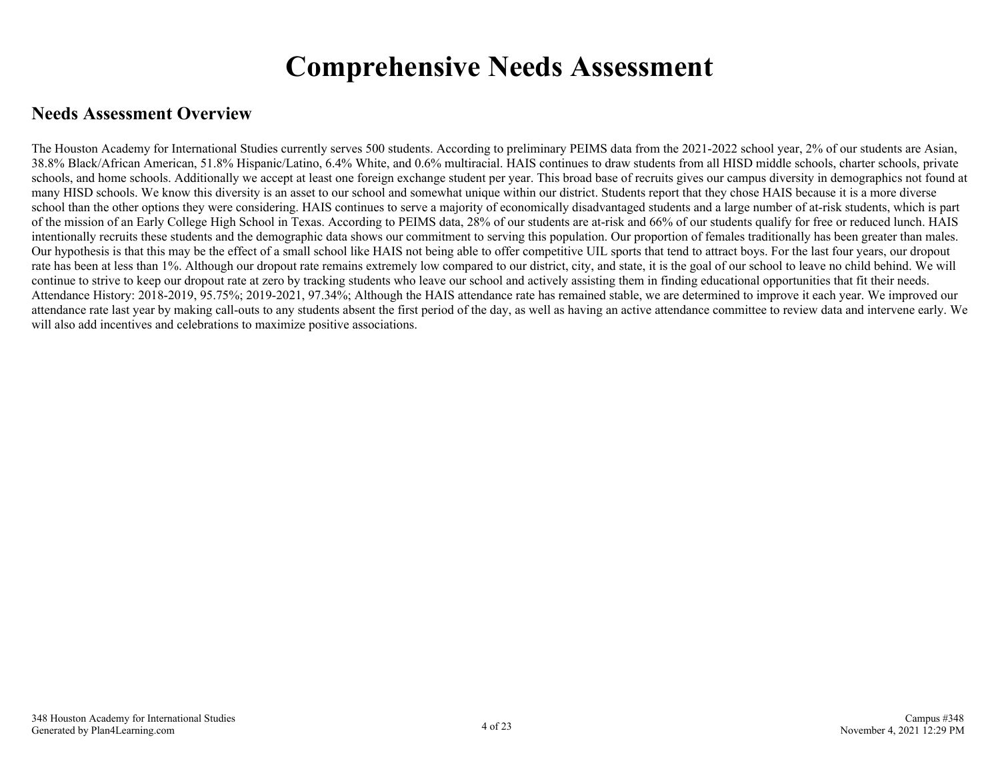## **Comprehensive Needs Assessment**

### <span id="page-3-0"></span>**Needs Assessment Overview**

The Houston Academy for International Studies currently serves 500 students. According to preliminary PEIMS data from the 2021-2022 school year, 2% of our students are Asian, 38.8% Black/African American, 51.8% Hispanic/Latino, 6.4% White, and 0.6% multiracial. HAIS continues to draw students from all HISD middle schools, charter schools, private schools, and home schools. Additionally we accept at least one foreign exchange student per year. This broad base of recruits gives our campus diversity in demographics not found at many HISD schools. We know this diversity is an asset to our school and somewhat unique within our district. Students report that they chose HAIS because it is a more diverse school than the other options they were considering. HAIS continues to serve a majority of economically disadvantaged students and a large number of at-risk students, which is part of the mission of an Early College High School in Texas. According to PEIMS data, 28% of our students are at-risk and 66% of our students qualify for free or reduced lunch. HAIS intentionally recruits these students and the demographic data shows our commitment to serving this population. Our proportion of females traditionally has been greater than males. Our hypothesis is that this may be the effect of a small school like HAIS not being able to offer competitive UIL sports that tend to attract boys. For the last four years, our dropout rate has been at less than 1%. Although our dropout rate remains extremely low compared to our district, city, and state, it is the goal of our school to leave no child behind. We will continue to strive to keep our dropout rate at zero by tracking students who leave our school and actively assisting them in finding educational opportunities that fit their needs. Attendance History: 2018-2019, 95.75%; 2019-2021, 97.34%; Although the HAIS attendance rate has remained stable, we are determined to improve it each year. We improved our attendance rate last year by making call-outs to any students absent the first period of the day, as well as having an active attendance committee to review data and intervene early. We will also add incentives and celebrations to maximize positive associations.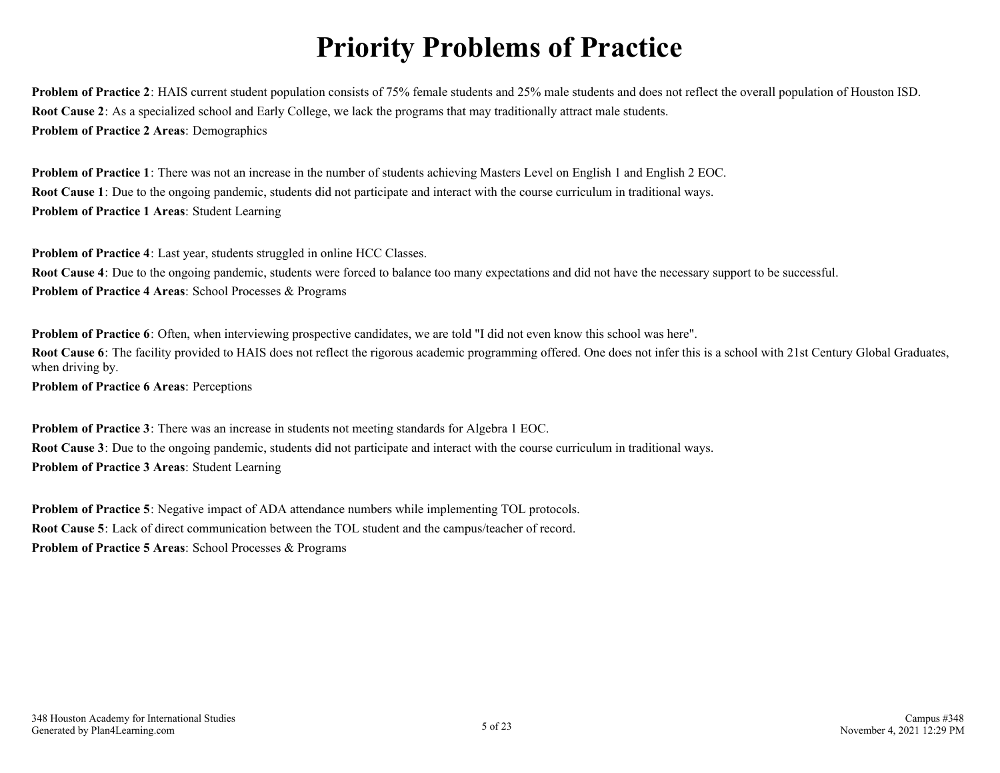# **Priority Problems of Practice**

<span id="page-4-0"></span>**Problem of Practice 2**: HAIS current student population consists of 75% female students and 25% male students and does not reflect the overall population of Houston ISD. **Root Cause 2**: As a specialized school and Early College, we lack the programs that may traditionally attract male students. **Problem of Practice 2 Areas**: Demographics

**Problem of Practice 1**: There was not an increase in the number of students achieving Masters Level on English 1 and English 2 EOC. **Root Cause 1**: Due to the ongoing pandemic, students did not participate and interact with the course curriculum in traditional ways. **Problem of Practice 1 Areas**: Student Learning

**Problem of Practice 4**: Last year, students struggled in online HCC Classes.

**Root Cause 4**: Due to the ongoing pandemic, students were forced to balance too many expectations and did not have the necessary support to be successful. **Problem of Practice 4 Areas**: School Processes & Programs

**Problem of Practice 6**: Often, when interviewing prospective candidates, we are told "I did not even know this school was here". **Root Cause 6**: The facility provided to HAIS does not reflect the rigorous academic programming offered. One does not infer this is a school with 21st Century Global Graduates, when driving by.

**Problem of Practice 6 Areas**: Perceptions

**Problem of Practice 3**: There was an increase in students not meeting standards for Algebra 1 EOC. **Root Cause 3**: Due to the ongoing pandemic, students did not participate and interact with the course curriculum in traditional ways. **Problem of Practice 3 Areas**: Student Learning

**Problem of Practice 5**: Negative impact of ADA attendance numbers while implementing TOL protocols. **Root Cause 5**: Lack of direct communication between the TOL student and the campus/teacher of record. **Problem of Practice 5 Areas**: School Processes & Programs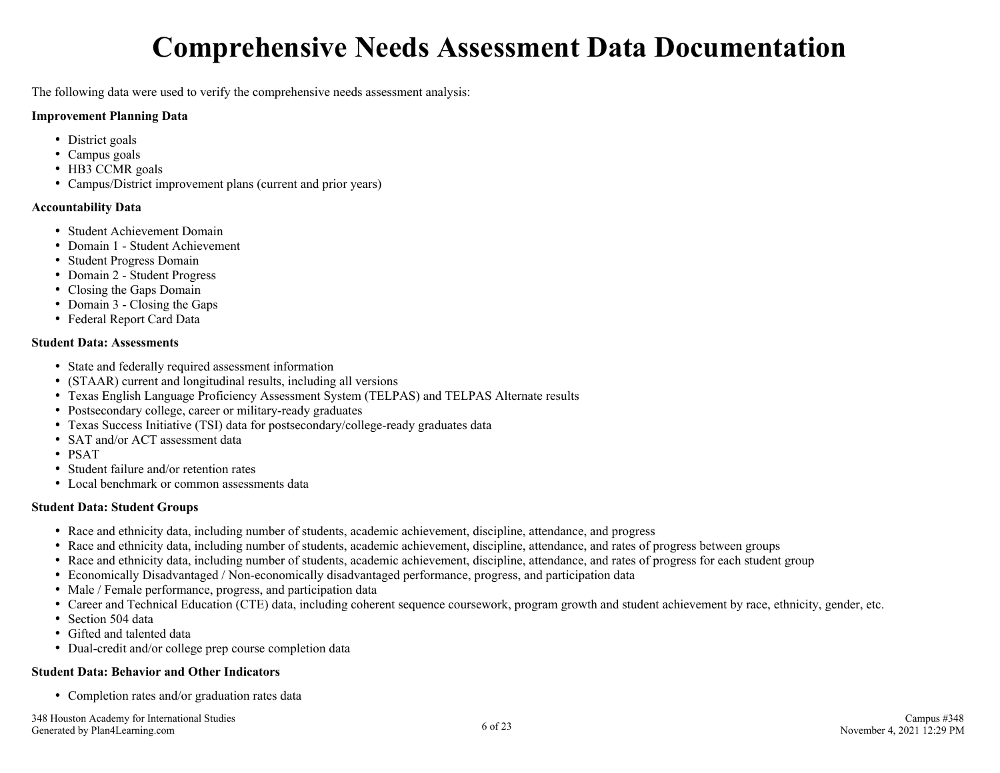## **Comprehensive Needs Assessment Data Documentation**

<span id="page-5-0"></span>The following data were used to verify the comprehensive needs assessment analysis:

#### **Improvement Planning Data**

- District goals
- Campus goals
- HB3 CCMR goals
- Campus/District improvement plans (current and prior years)

#### **Accountability Data**

- Student Achievement Domain
- Domain 1 Student Achievement
- Student Progress Domain
- Domain 2 Student Progress
- Closing the Gaps Domain
- Domain 3 Closing the Gaps
- Federal Report Card Data

#### **Student Data: Assessments**

- State and federally required assessment information
- (STAAR) current and longitudinal results, including all versions
- Texas English Language Proficiency Assessment System (TELPAS) and TELPAS Alternate results
- Postsecondary college, career or military-ready graduates
- Texas Success Initiative (TSI) data for postsecondary/college-ready graduates data
- SAT and/or ACT assessment data
- PSAT
- Student failure and/or retention rates
- Local benchmark or common assessments data

#### **Student Data: Student Groups**

- Race and ethnicity data, including number of students, academic achievement, discipline, attendance, and progress
- Race and ethnicity data, including number of students, academic achievement, discipline, attendance, and rates of progress between groups
- Race and ethnicity data, including number of students, academic achievement, discipline, attendance, and rates of progress for each student group
- Economically Disadvantaged / Non-economically disadvantaged performance, progress, and participation data
- Male / Female performance, progress, and participation data
- Career and Technical Education (CTE) data, including coherent sequence coursework, program growth and student achievement by race, ethnicity, gender, etc.
- Section 504 data
- Gifted and talented data
- Dual-credit and/or college prep course completion data

#### **Student Data: Behavior and Other Indicators**

• Completion rates and/or graduation rates data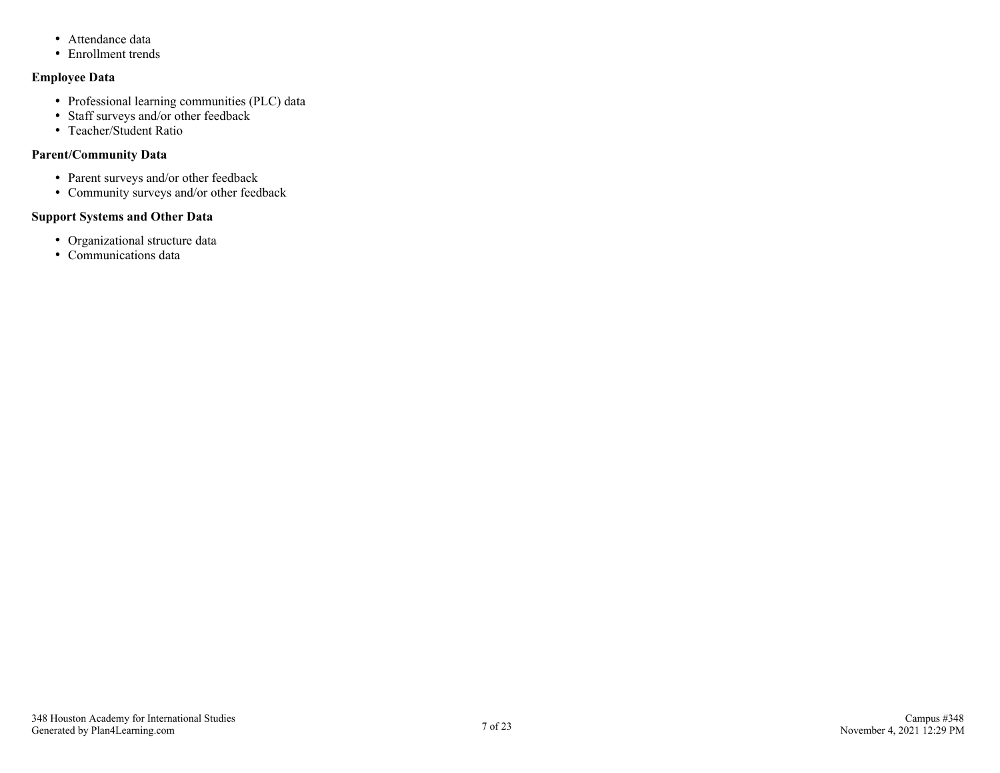- Attendance data
- Enrollment trends

#### **Employee Data**

- Professional learning communities (PLC) data
- Staff surveys and/or other feedback
- Teacher/Student Ratio

#### **Parent/Community Data**

- Parent surveys and/or other feedback
- Community surveys and/or other feedback

#### **Support Systems and Other Data**

- Organizational structure data
- Communications data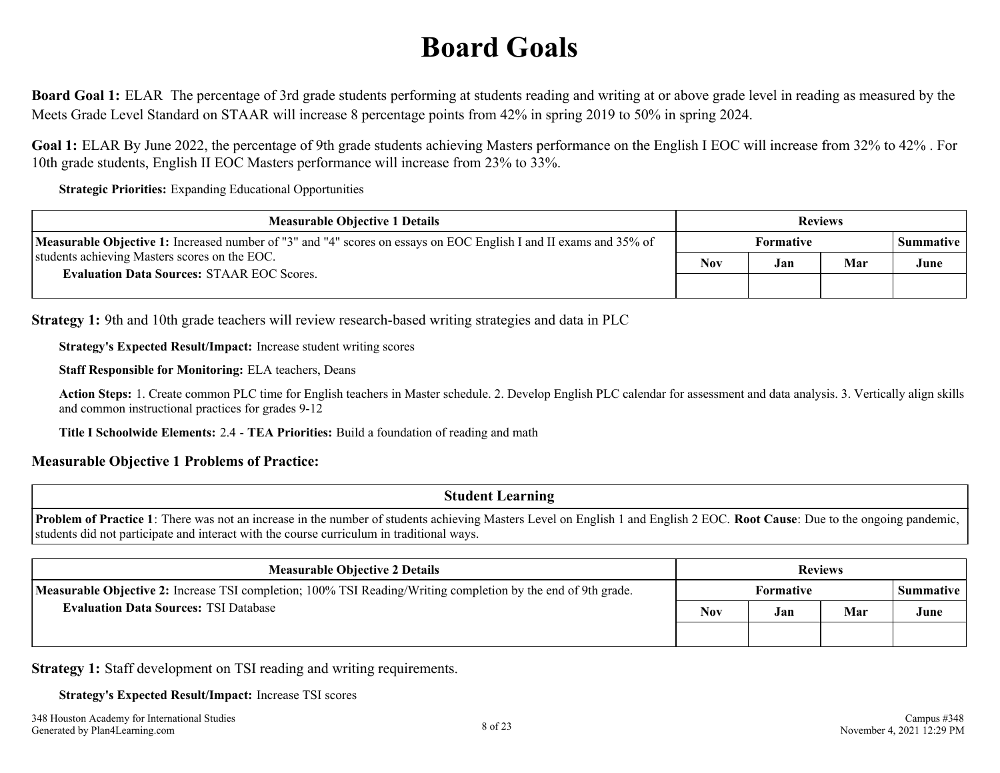# **Board Goals**

<span id="page-7-0"></span>**Board Goal 1:** ELAR The percentage of 3rd grade students performing at students reading and writing at or above grade level in reading as measured by the Meets Grade Level Standard on STAAR will increase 8 percentage points from 42% in spring 2019 to 50% in spring 2024.

**Goal 1:** ELAR By June 2022, the percentage of 9th grade students achieving Masters performance on the English I EOC will increase from 32% to 42% . For 10th grade students, English II EOC Masters performance will increase from 23% to 33%.

**Strategic Priorities:** Expanding Educational Opportunities

| <b>Measurable Objective 1 Details</b>                                                                                    |            | <b>Reviews</b> |     |                  |  |
|--------------------------------------------------------------------------------------------------------------------------|------------|----------------|-----|------------------|--|
| <b>Measurable Objective 1:</b> Increased number of "3" and "4" scores on essays on EOC English I and II exams and 35% of |            | Formative      |     | <b>Summative</b> |  |
| students achieving Masters scores on the EOC.                                                                            | <b>Nov</b> | Jan            | Mar | June             |  |
| <b>Evaluation Data Sources: STAAR EOC Scores.</b>                                                                        |            |                |     |                  |  |

**Strategy 1:** 9th and 10th grade teachers will review research-based writing strategies and data in PLC

**Strategy's Expected Result/Impact:** Increase student writing scores

**Staff Responsible for Monitoring:** ELA teachers, Deans

**Action Steps:** 1. Create common PLC time for English teachers in Master schedule. 2. Develop English PLC calendar for assessment and data analysis. 3. Vertically align skills and common instructional practices for grades 9-12

**Title I Schoolwide Elements:** 2.4 - **TEA Priorities:** Build a foundation of reading and math

#### **Measurable Objective 1 Problems of Practice:**

**Student Learning**

**Problem of Practice 1**: There was not an increase in the number of students achieving Masters Level on English 1 and English 2 EOC. **Root Cause**: Due to the ongoing pandemic, students did not participate and interact with the course curriculum in traditional ways.

| <b>Measurable Objective 2 Details</b><br><b>Reviews</b>                                                              |     |                  |     |           |
|----------------------------------------------------------------------------------------------------------------------|-----|------------------|-----|-----------|
| <b>Measurable Objective 2:</b> Increase TSI completion; 100% TSI Reading/Writing completion by the end of 9th grade. |     | <b>Formative</b> |     | Summative |
| <b>Evaluation Data Sources: TSI Database</b>                                                                         | Nov | Jan              | Mar | June      |
|                                                                                                                      |     |                  |     |           |

**Strategy 1:** Staff development on TSI reading and writing requirements.

**Strategy's Expected Result/Impact:** Increase TSI scores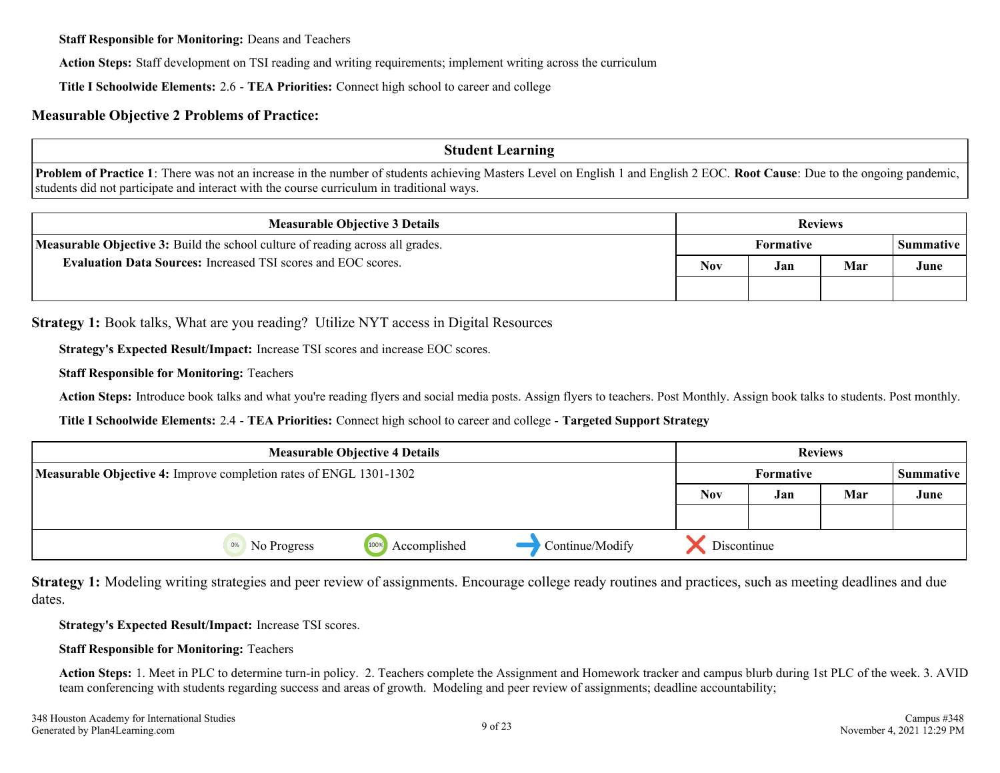**Staff Responsible for Monitoring:** Deans and Teachers

**Action Steps:** Staff development on TSI reading and writing requirements; implement writing across the curriculum

**Title I Schoolwide Elements:** 2.6 - **TEA Priorities:** Connect high school to career and college

#### **Measurable Objective 2 Problems of Practice:**

**Student Learning**

**Problem of Practice 1**: There was not an increase in the number of students achieving Masters Level on English 1 and English 2 EOC. **Root Cause**: Due to the ongoing pandemic, students did not participate and interact with the course curriculum in traditional ways.

| <b>Measurable Objective 3 Details</b>                                                 |  |           | <b>Reviews</b> |           |
|---------------------------------------------------------------------------------------|--|-----------|----------------|-----------|
| <b>Measurable Objective 3:</b> Build the school culture of reading across all grades. |  | Formative |                | Summative |
| <b>Evaluation Data Sources: Increased TSI scores and EOC scores.</b>                  |  | Jan       | Mar            | June      |
|                                                                                       |  |           |                |           |

**Strategy 1:** Book talks, What are you reading? Utilize NYT access in Digital Resources

**Strategy's Expected Result/Impact:** Increase TSI scores and increase EOC scores.

**Staff Responsible for Monitoring:** Teachers

Action Steps: Introduce book talks and what you're reading flyers and social media posts. Assign flyers to teachers. Post Monthly. Assign book talks to students. Post monthly.

**Title I Schoolwide Elements:** 2.4 - **TEA Priorities:** Connect high school to career and college - **Targeted Support Strategy**

| <b>Measurable Objective 4 Details</b>                              |                   |                      |                 |                               | <b>Reviews</b> |     |      |
|--------------------------------------------------------------------|-------------------|----------------------|-----------------|-------------------------------|----------------|-----|------|
| Measurable Objective 4: Improve completion rates of ENGL 1301-1302 |                   |                      |                 | Formative<br><b>Summative</b> |                |     |      |
|                                                                    |                   |                      |                 | <b>Nov</b>                    | Jan            | Mar | June |
|                                                                    |                   |                      |                 |                               |                |     |      |
|                                                                    | No Progress<br>0% | Accomplished<br>100% | Continue/Modify | Discontinue                   |                |     |      |

**Strategy 1:** Modeling writing strategies and peer review of assignments. Encourage college ready routines and practices, such as meeting deadlines and due dates.

**Strategy's Expected Result/Impact:** Increase TSI scores.

#### **Staff Responsible for Monitoring:** Teachers

Action Steps: 1. Meet in PLC to determine turn-in policy. 2. Teachers complete the Assignment and Homework tracker and campus blurb during 1st PLC of the week. 3. AVID team conferencing with students regarding success and areas of growth. Modeling and peer review of assignments; deadline accountability;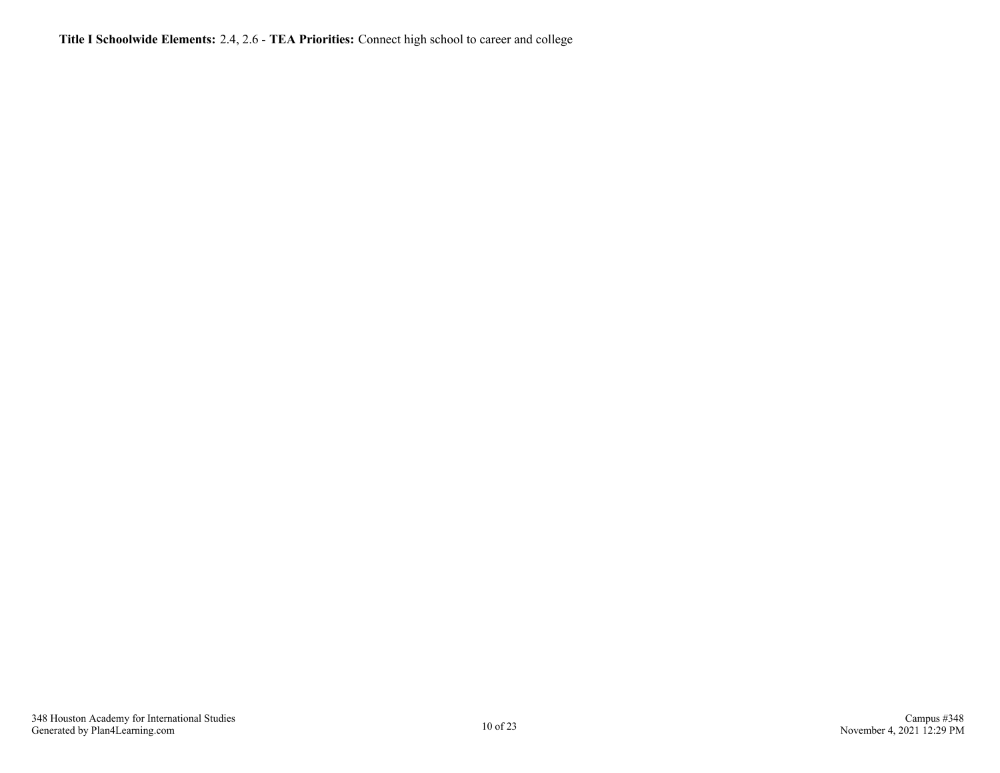**Title I Schoolwide Elements:** 2.4, 2.6 - **TEA Priorities:** Connect high school to career and college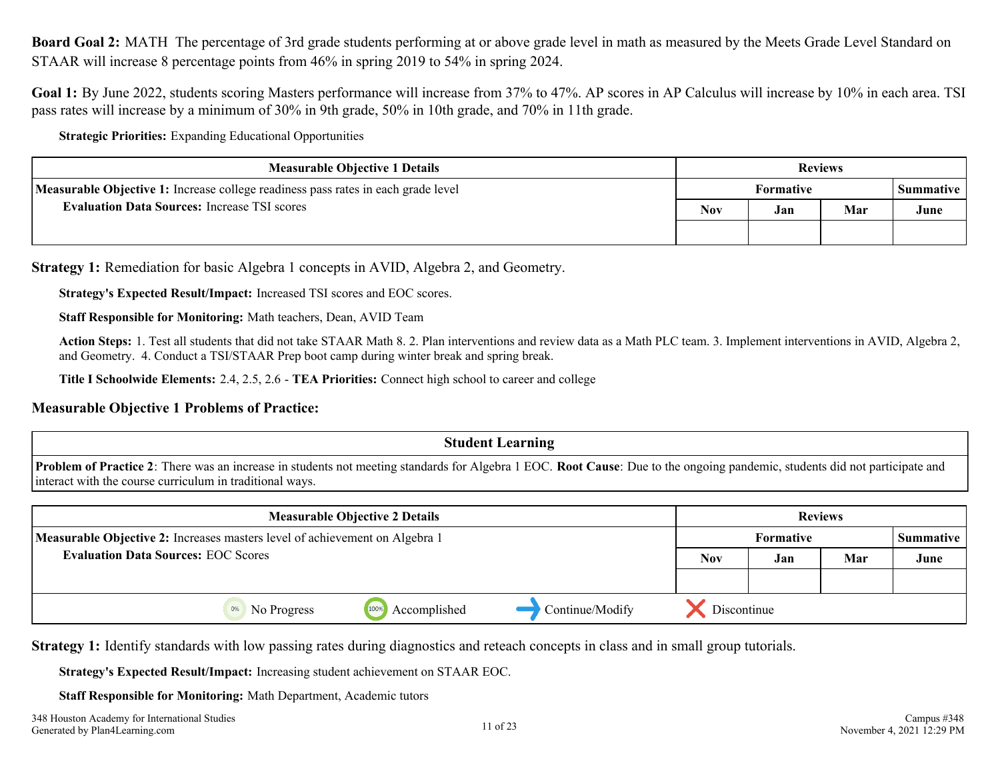<span id="page-10-0"></span>**Board Goal 2:** MATH The percentage of 3rd grade students performing at or above grade level in math as measured by the Meets Grade Level Standard on STAAR will increase 8 percentage points from 46% in spring 2019 to 54% in spring 2024.

Goal 1: By June 2022, students scoring Masters performance will increase from 37% to 47%. AP scores in AP Calculus will increase by 10% in each area. TSI pass rates will increase by a minimum of 30% in 9th grade, 50% in 10th grade, and 70% in 11th grade.

**Strategic Priorities:** Expanding Educational Opportunities

| <b>Measurable Objective 1 Details</b>                                             |     |           | <b>Reviews</b> |                  |
|-----------------------------------------------------------------------------------|-----|-----------|----------------|------------------|
| Measurable Objective 1: Increase college readiness pass rates in each grade level |     | Formative |                | <b>Summative</b> |
| <b>Evaluation Data Sources: Increase TSI scores</b>                               | Nov | Jan       | Mar            | June             |
|                                                                                   |     |           |                |                  |

**Strategy 1:** Remediation for basic Algebra 1 concepts in AVID, Algebra 2, and Geometry.

**Strategy's Expected Result/Impact:** Increased TSI scores and EOC scores.

**Staff Responsible for Monitoring:** Math teachers, Dean, AVID Team

**Action Steps:** 1. Test all students that did not take STAAR Math 8. 2. Plan interventions and review data as a Math PLC team. 3. Implement interventions in AVID, Algebra 2, and Geometry. 4. Conduct a TSI/STAAR Prep boot camp during winter break and spring break.

**Title I Schoolwide Elements:** 2.4, 2.5, 2.6 - **TEA Priorities:** Connect high school to career and college

#### **Measurable Objective 1 Problems of Practice:**

#### **Student Learning**

**Problem of Practice 2**: There was an increase in students not meeting standards for Algebra 1 EOC. **Root Cause**: Due to the ongoing pandemic, students did not participate and interact with the course curriculum in traditional ways.

| <b>Measurable Objective 2 Details</b>                                       |             |                      |                 |            |             | <b>Reviews</b> |           |
|-----------------------------------------------------------------------------|-------------|----------------------|-----------------|------------|-------------|----------------|-----------|
| Measurable Objective 2: Increases masters level of achievement on Algebra 1 |             |                      |                 | Formative  |             |                | Summative |
| <b>Evaluation Data Sources: EOC Scores</b>                                  |             |                      |                 | <b>Nov</b> | Jan         | Mar            | June      |
|                                                                             |             |                      |                 |            |             |                |           |
|                                                                             | No Progress | 100%<br>Accomplished | Continue/Modify |            | Discontinue |                |           |

**Strategy 1:** Identify standards with low passing rates during diagnostics and reteach concepts in class and in small group tutorials.

**Strategy's Expected Result/Impact:** Increasing student achievement on STAAR EOC.

**Staff Responsible for Monitoring:** Math Department, Academic tutors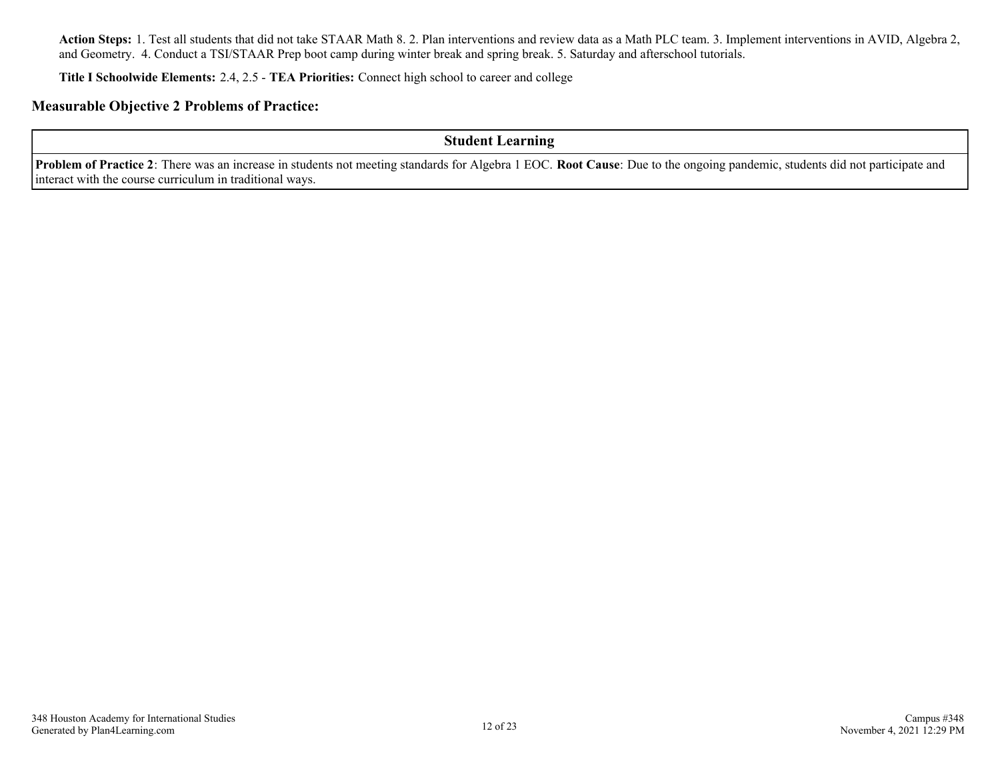**Action Steps:** 1. Test all students that did not take STAAR Math 8. 2. Plan interventions and review data as a Math PLC team. 3. Implement interventions in AVID, Algebra 2, and Geometry. 4. Conduct a TSI/STAAR Prep boot camp during winter break and spring break. 5. Saturday and afterschool tutorials.

**Title I Schoolwide Elements:** 2.4, 2.5 - **TEA Priorities:** Connect high school to career and college

#### **Measurable Objective 2 Problems of Practice:**

**Student Learning**

**Problem of Practice 2**: There was an increase in students not meeting standards for Algebra 1 EOC. **Root Cause**: Due to the ongoing pandemic, students did not participate and interact with the course curriculum in traditional ways.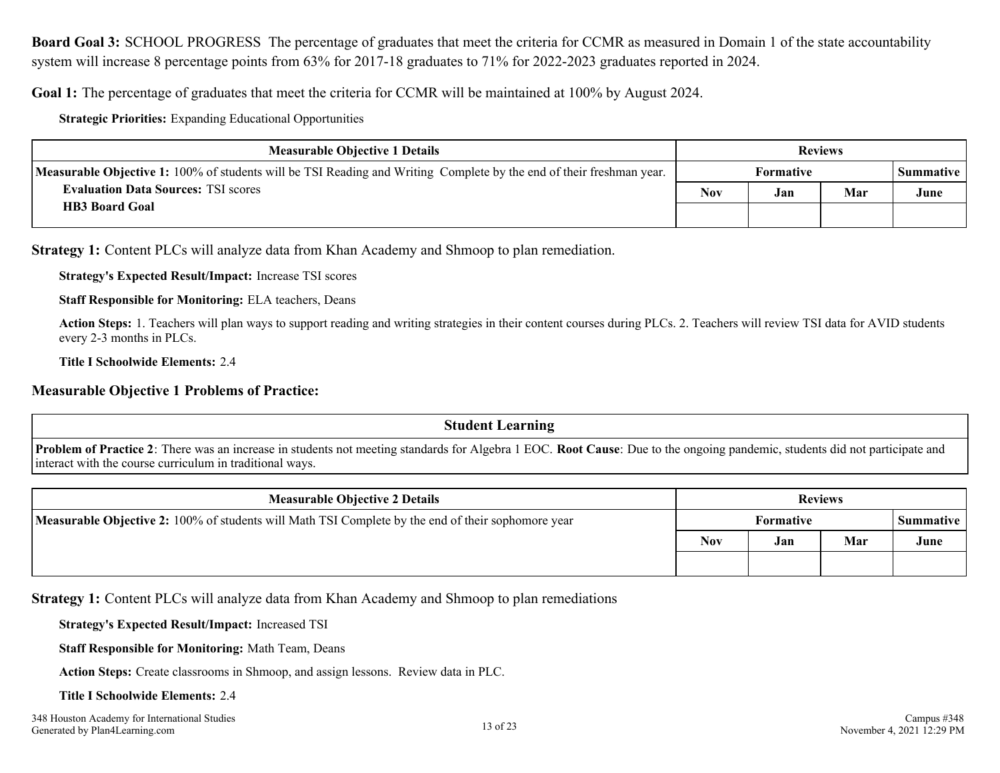<span id="page-12-0"></span>**Board Goal 3:** SCHOOL PROGRESS The percentage of graduates that meet the criteria for CCMR as measured in Domain 1 of the state accountability system will increase 8 percentage points from 63% for 2017-18 graduates to 71% for 2022-2023 graduates reported in 2024.

**Goal 1:** The percentage of graduates that meet the criteria for CCMR will be maintained at 100% by August 2024.

**Strategic Priorities:** Expanding Educational Opportunities

| <b>Measurable Objective 1 Details</b>                                                                                       |            |                  | <b>Reviews</b> |           |
|-----------------------------------------------------------------------------------------------------------------------------|------------|------------------|----------------|-----------|
| <b>Measurable Objective 1:</b> 100% of students will be TSI Reading and Writing Complete by the end of their freshman year. |            | <b>Formative</b> |                | Summative |
| <b>Evaluation Data Sources: TSI scores</b>                                                                                  | <b>Nov</b> | Jan              | Mar            | June      |
| <b>HB3 Board Goal</b>                                                                                                       |            |                  |                |           |

**Strategy 1:** Content PLCs will analyze data from Khan Academy and Shmoop to plan remediation.

**Strategy's Expected Result/Impact:** Increase TSI scores

**Staff Responsible for Monitoring:** ELA teachers, Deans

**Action Steps:** 1. Teachers will plan ways to support reading and writing strategies in their content courses during PLCs. 2. Teachers will review TSI data for AVID students every 2-3 months in PLCs.

**Title I Schoolwide Elements:** 2.4

#### **Measurable Objective 1 Problems of Practice:**

**Student Learning**

**Problem of Practice 2**: There was an increase in students not meeting standards for Algebra 1 EOC. **Root Cause**: Due to the ongoing pandemic, students did not participate and interact with the course curriculum in traditional ways.

| <b>Measurable Objective 2 Details</b>                                                                     | <b>Reviews</b> |           |     |      |
|-----------------------------------------------------------------------------------------------------------|----------------|-----------|-----|------|
| <b>Measurable Objective 2:</b> 100% of students will Math TSI Complete by the end of their sophomore year |                | Formative |     |      |
|                                                                                                           | Nov            | Jan       | Mar | June |
|                                                                                                           |                |           |     |      |

**Strategy 1:** Content PLCs will analyze data from Khan Academy and Shmoop to plan remediations

**Strategy's Expected Result/Impact:** Increased TSI

**Staff Responsible for Monitoring:** Math Team, Deans

**Action Steps:** Create classrooms in Shmoop, and assign lessons. Review data in PLC.

#### **Title I Schoolwide Elements:** 2.4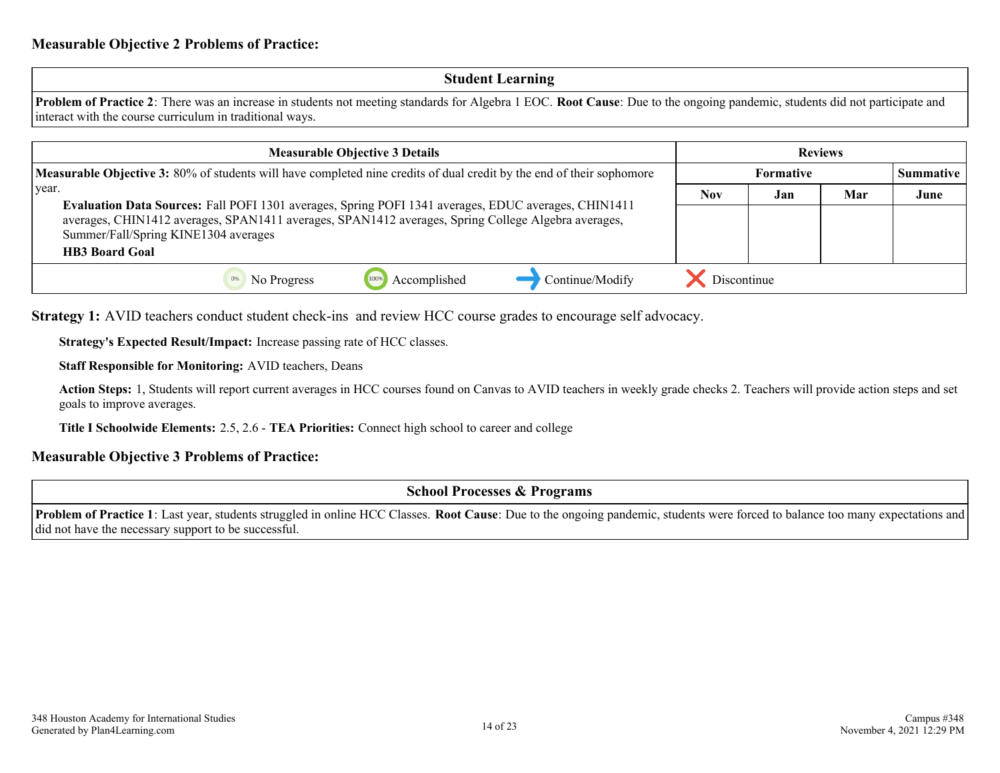#### **Student Learning**

**Problem of Practice 2**: There was an increase in students not meeting standards for Algebra 1 EOC. **Root Cause**: Due to the ongoing pandemic, students did not participate and interact with the course curriculum in traditional ways.

| <b>Measurable Objective 3 Details</b>                                                                                                                                                                       |             |     | <b>Reviews</b> |                  |
|-------------------------------------------------------------------------------------------------------------------------------------------------------------------------------------------------------------|-------------|-----|----------------|------------------|
| <b>Measurable Objective 3:</b> 80% of students will have completed nine credits of dual credit by the end of their sophomore                                                                                | Formative   |     |                | <b>Summative</b> |
| year.                                                                                                                                                                                                       | <b>Nov</b>  | Jan | Mar            | June             |
| Evaluation Data Sources: Fall POFI 1301 averages, Spring POFI 1341 averages, EDUC averages, CHIN1411<br>averages, CHIN1412 averages, SPAN1411 averages, SPAN1412 averages, Spring College Algebra averages, |             |     |                |                  |
| Summer/Fall/Spring KINE1304 averages                                                                                                                                                                        |             |     |                |                  |
| <b>HB3 Board Goal</b>                                                                                                                                                                                       |             |     |                |                  |
| Continue/Modify<br>Accomplished<br>1009<br>No Progress                                                                                                                                                      | Discontinue |     |                |                  |

**Strategy 1:** AVID teachers conduct student check-ins and review HCC course grades to encourage self advocacy.

**Strategy's Expected Result/Impact:** Increase passing rate of HCC classes.

**Staff Responsible for Monitoring:** AVID teachers, Deans

**Action Steps:** 1, Students will report current averages in HCC courses found on Canvas to AVID teachers in weekly grade checks 2. Teachers will provide action steps and set goals to improve averages.

**Title I Schoolwide Elements:** 2.5, 2.6 - **TEA Priorities:** Connect high school to career and college

#### **Measurable Objective 3 Problems of Practice:**

**School Processes & Programs**

**Problem of Practice 1**: Last year, students struggled in online HCC Classes. **Root Cause**: Due to the ongoing pandemic, students were forced to balance too many expectations and did not have the necessary support to be successful.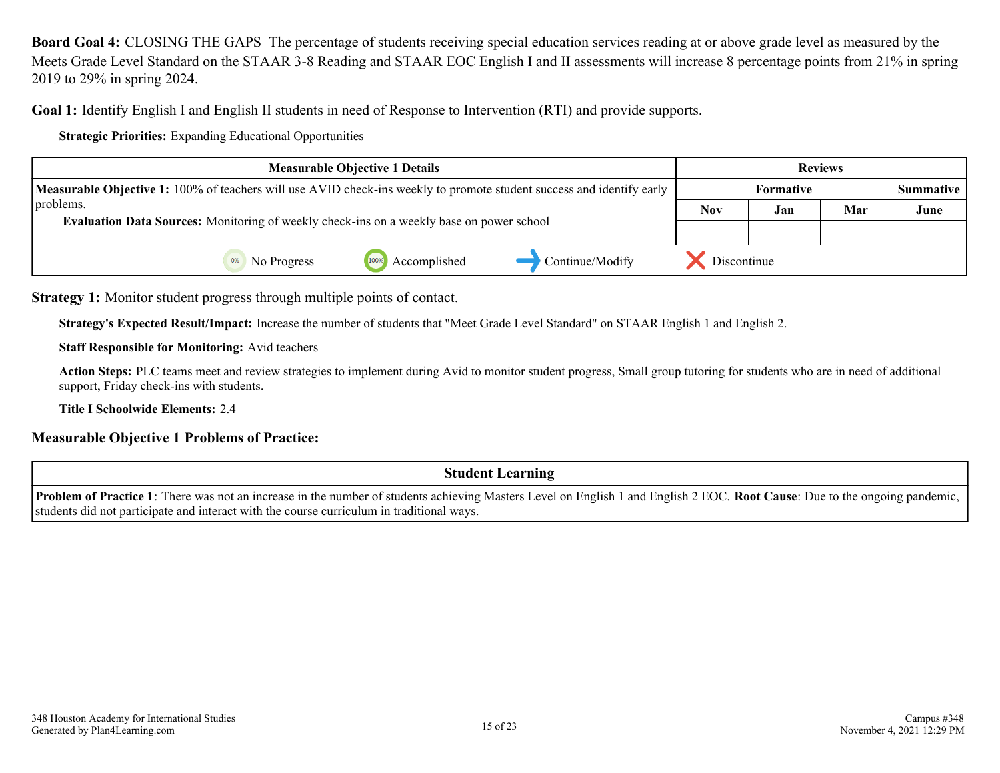<span id="page-14-0"></span>**Board Goal 4:** CLOSING THE GAPS The percentage of students receiving special education services reading at or above grade level as measured by the Meets Grade Level Standard on the STAAR 3-8 Reading and STAAR EOC English I and II assessments will increase 8 percentage points from 21% in spring 2019 to 29% in spring 2024.

**Goal 1:** Identify English I and English II students in need of Response to Intervention (RTI) and provide supports.

**Strategic Priorities:** Expanding Educational Opportunities

| <b>Measurable Objective 1 Details</b>                                                                                 |                                                                                                 |                      |                 |             |                  | <b>Reviews</b> |                  |
|-----------------------------------------------------------------------------------------------------------------------|-------------------------------------------------------------------------------------------------|----------------------|-----------------|-------------|------------------|----------------|------------------|
| Measurable Objective 1: 100% of teachers will use AVID check-ins weekly to promote student success and identify early |                                                                                                 |                      |                 |             | <b>Formative</b> |                | <b>Summative</b> |
| problems.                                                                                                             |                                                                                                 |                      |                 |             |                  | Mar            | June             |
|                                                                                                                       | <b>Evaluation Data Sources:</b> Monitoring of weekly check-ins on a weekly base on power school |                      |                 |             |                  |                |                  |
|                                                                                                                       | No Progress                                                                                     | Accomplished<br>1009 | Continue/Modify | Discontinue |                  |                |                  |

**Strategy 1:** Monitor student progress through multiple points of contact.

**Strategy's Expected Result/Impact:** Increase the number of students that "Meet Grade Level Standard" on STAAR English 1 and English 2.

**Staff Responsible for Monitoring:** Avid teachers

**Action Steps:** PLC teams meet and review strategies to implement during Avid to monitor student progress, Small group tutoring for students who are in need of additional support, Friday check-ins with students.

**Title I Schoolwide Elements:** 2.4

#### **Measurable Objective 1 Problems of Practice:**

**Student Learning**

**Problem of Practice 1**: There was not an increase in the number of students achieving Masters Level on English 1 and English 2 EOC. **Root Cause**: Due to the ongoing pandemic, students did not participate and interact with the course curriculum in traditional ways.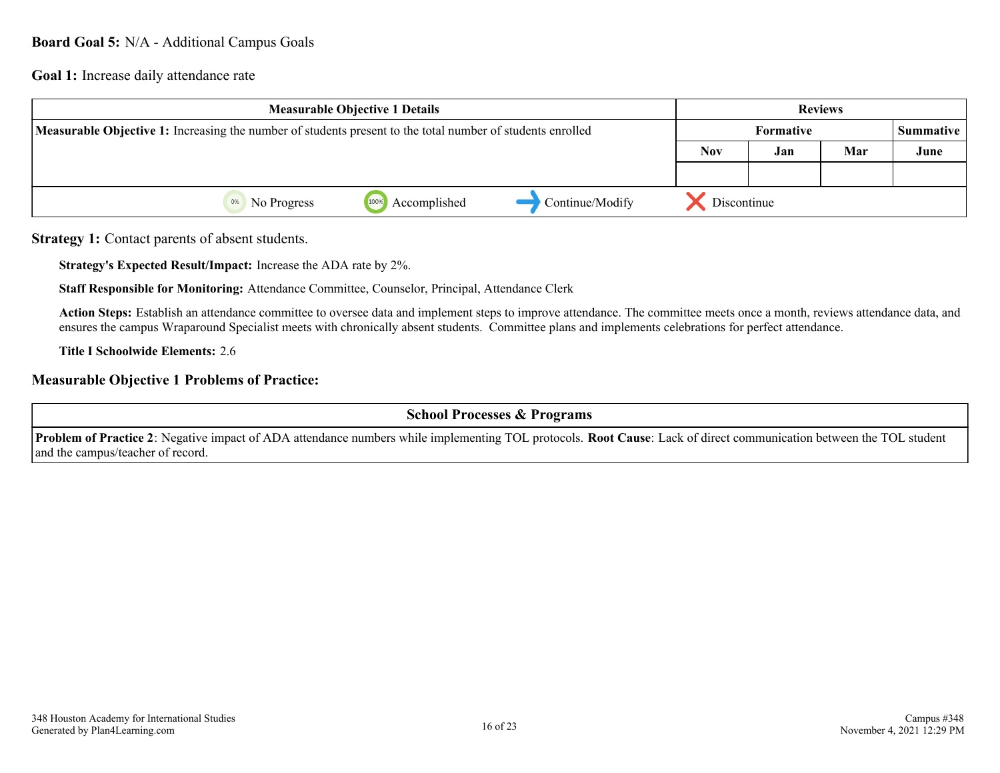#### <span id="page-15-0"></span>**Board Goal 5:** N/A - Additional Campus Goals

**Goal 1:** Increase daily attendance rate

|                                                                                                                   | <b>Measurable Objective 1 Details</b> |                      |                 |            |             | <b>Reviews</b> |      |
|-------------------------------------------------------------------------------------------------------------------|---------------------------------------|----------------------|-----------------|------------|-------------|----------------|------|
| <b>Measurable Objective 1:</b> Increasing the number of students present to the total number of students enrolled |                                       |                      |                 |            | Summative   |                |      |
|                                                                                                                   |                                       |                      |                 | <b>Nov</b> | Jan         | Mar            | June |
|                                                                                                                   |                                       |                      |                 |            |             |                |      |
|                                                                                                                   | No Progress                           | 100%<br>Accomplished | Continue/Modify |            | Discontinue |                |      |

**Strategy 1:** Contact parents of absent students.

**Strategy's Expected Result/Impact:** Increase the ADA rate by 2%.

**Staff Responsible for Monitoring:** Attendance Committee, Counselor, Principal, Attendance Clerk

**Action Steps:** Establish an attendance committee to oversee data and implement steps to improve attendance. The committee meets once a month, reviews attendance data, and ensures the campus Wraparound Specialist meets with chronically absent students. Committee plans and implements celebrations for perfect attendance.

**Title I Schoolwide Elements:** 2.6

#### **Measurable Objective 1 Problems of Practice:**

**School Processes & Programs**

**Problem of Practice 2**: Negative impact of ADA attendance numbers while implementing TOL protocols. **Root Cause**: Lack of direct communication between the TOL student and the campus/teacher of record.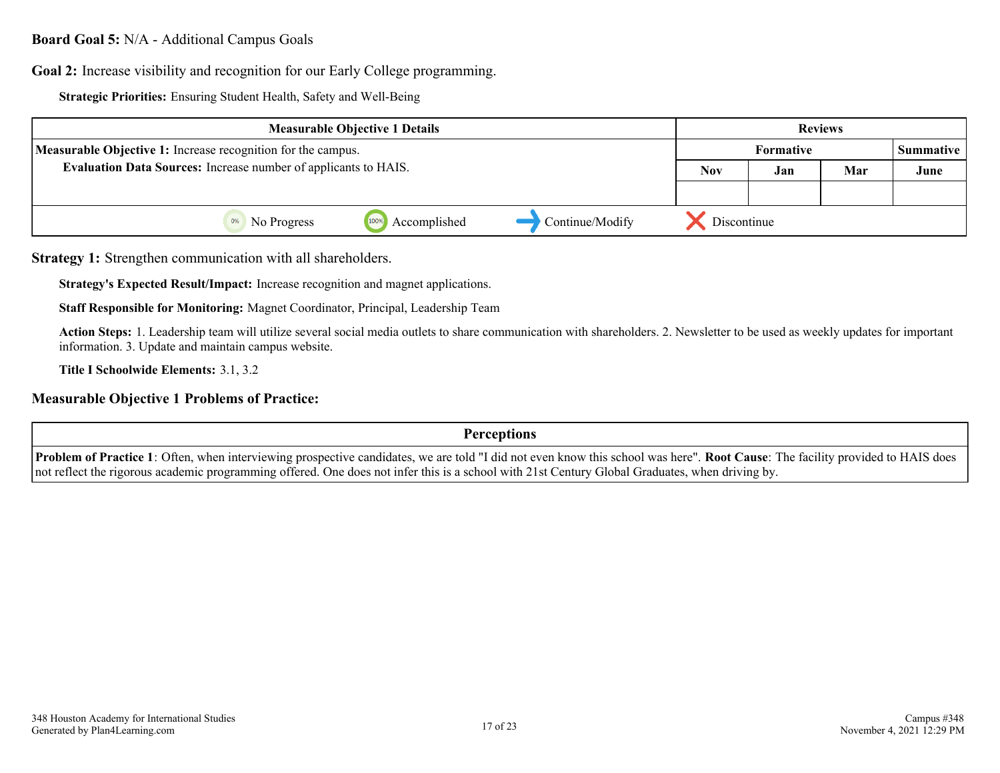#### **Board Goal 5:** N/A - Additional Campus Goals

**Goal 2:** Increase visibility and recognition for our Early College programming.

**Strategic Priorities:** Ensuring Student Health, Safety and Well-Being

| <b>Measurable Objective 1 Details</b>                                  |             |                      | <b>Reviews</b>   |             |     |           |  |
|------------------------------------------------------------------------|-------------|----------------------|------------------|-------------|-----|-----------|--|
| <b>Measurable Objective 1:</b> Increase recognition for the campus.    |             |                      | <b>Formative</b> |             |     | Summative |  |
| <b>Evaluation Data Sources:</b> Increase number of applicants to HAIS. |             |                      | <b>Nov</b>       | Jan         | Mar | June      |  |
|                                                                        |             |                      |                  |             |     |           |  |
|                                                                        | No Progress | 1009<br>Accomplished | Continue/Modify  | Discontinue |     |           |  |

**Strategy 1:** Strengthen communication with all shareholders.

**Strategy's Expected Result/Impact:** Increase recognition and magnet applications.

**Staff Responsible for Monitoring:** Magnet Coordinator, Principal, Leadership Team

**Action Steps:** 1. Leadership team will utilize several social media outlets to share communication with shareholders. 2. Newsletter to be used as weekly updates for important information. 3. Update and maintain campus website.

**Title I Schoolwide Elements:** 3.1, 3.2

#### **Measurable Objective 1 Problems of Practice:**

**Perceptions**

**Problem of Practice 1**: Often, when interviewing prospective candidates, we are told "I did not even know this school was here". **Root Cause**: The facility provided to HAIS does not reflect the rigorous academic programming offered. One does not infer this is a school with 21st Century Global Graduates, when driving by.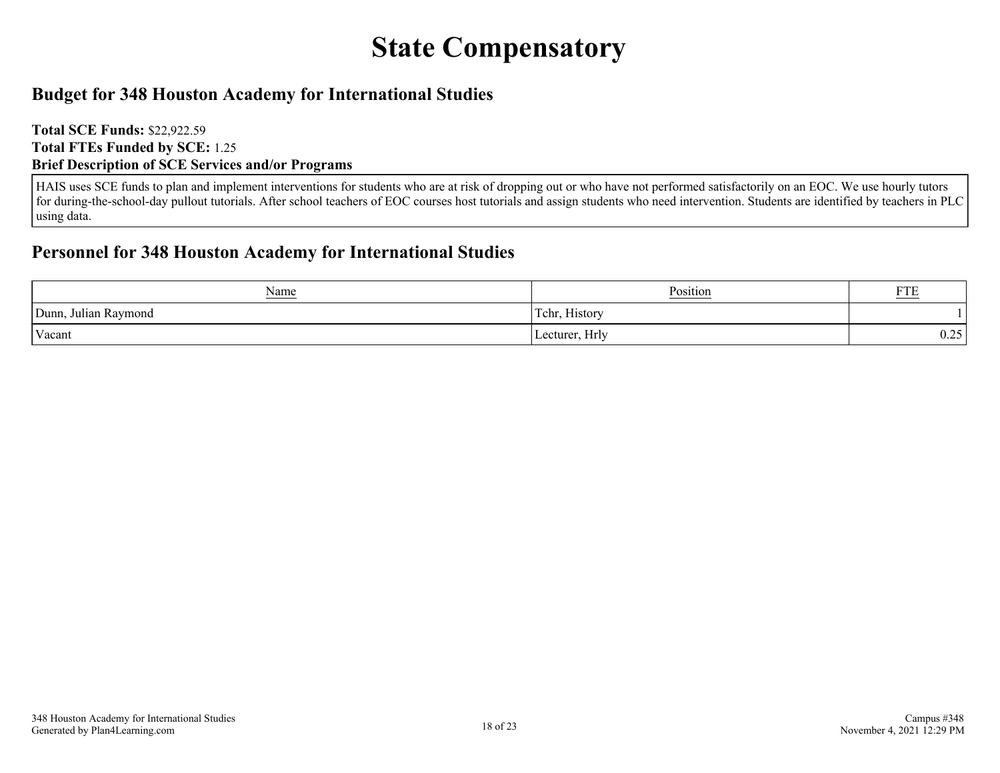## **State Compensatory**

### <span id="page-17-0"></span>**Budget for 348 Houston Academy for International Studies**

**Total SCE Funds:** \$22,922.59 **Total FTEs Funded by SCE:** 1.25 **Brief Description of SCE Services and/or Programs**

HAIS uses SCE funds to plan and implement interventions for students who are at risk of dropping out or who have not performed satisfactorily on an EOC. We use hourly tutors for during-the-school-day pullout tutorials. After school teachers of EOC courses host tutorials and assign students who need intervention. Students are identified by teachers in PLC using data.

### **Personnel for 348 Houston Academy for International Studies**

| <u>Name</u>                        | Position                             | $\sim$<br><u>AID</u> |
|------------------------------------|--------------------------------------|----------------------|
| $\cdot$<br>Dunn,<br>Julian Raymond | ----<br>$\sim$<br>, History<br>Tchr. |                      |
| Vacant                             | Hrly<br>Lecturer,                    | $\cap$<br>∪.∠J       |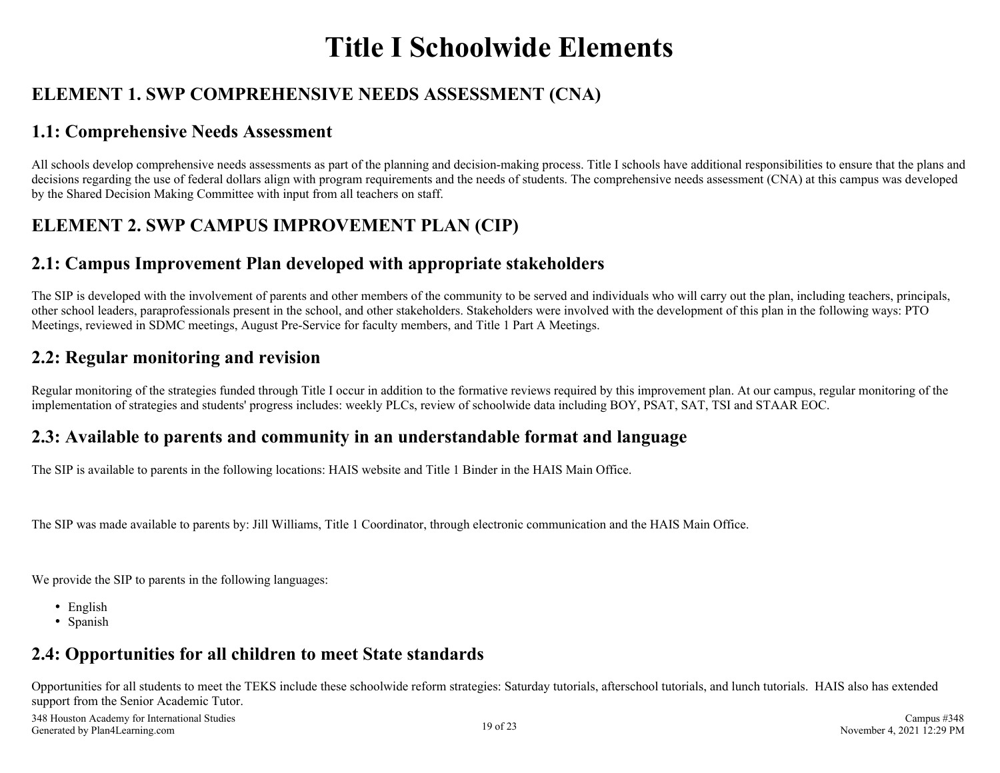## **Title I Schoolwide Elements**

## <span id="page-18-0"></span>**ELEMENT 1. SWP COMPREHENSIVE NEEDS ASSESSMENT (CNA)**

## **1.1: Comprehensive Needs Assessment**

All schools develop comprehensive needs assessments as part of the planning and decision-making process. Title I schools have additional responsibilities to ensure that the plans and decisions regarding the use of federal dollars align with program requirements and the needs of students. The comprehensive needs assessment (CNA) at this campus was developed by the Shared Decision Making Committee with input from all teachers on staff.

## **ELEMENT 2. SWP CAMPUS IMPROVEMENT PLAN (CIP)**

## **2.1: Campus Improvement Plan developed with appropriate stakeholders**

The SIP is developed with the involvement of parents and other members of the community to be served and individuals who will carry out the plan, including teachers, principals, other school leaders, paraprofessionals present in the school, and other stakeholders. Stakeholders were involved with the development of this plan in the following ways: PTO Meetings, reviewed in SDMC meetings, August Pre-Service for faculty members, and Title 1 Part A Meetings.

### **2.2: Regular monitoring and revision**

Regular monitoring of the strategies funded through Title I occur in addition to the formative reviews required by this improvement plan. At our campus, regular monitoring of the implementation of strategies and students' progress includes: weekly PLCs, review of schoolwide data including BOY, PSAT, SAT, TSI and STAAR EOC.

## **2.3: Available to parents and community in an understandable format and language**

The SIP is available to parents in the following locations: HAIS website and Title 1 Binder in the HAIS Main Office.

The SIP was made available to parents by: Jill Williams, Title 1 Coordinator, through electronic communication and the HAIS Main Office.

We provide the SIP to parents in the following languages:

- English
- Spanish

### **2.4: Opportunities for all children to meet State standards**

Opportunities for all students to meet the TEKS include these schoolwide reform strategies: Saturday tutorials, afterschool tutorials, and lunch tutorials. HAIS also has extended support from the Senior Academic Tutor.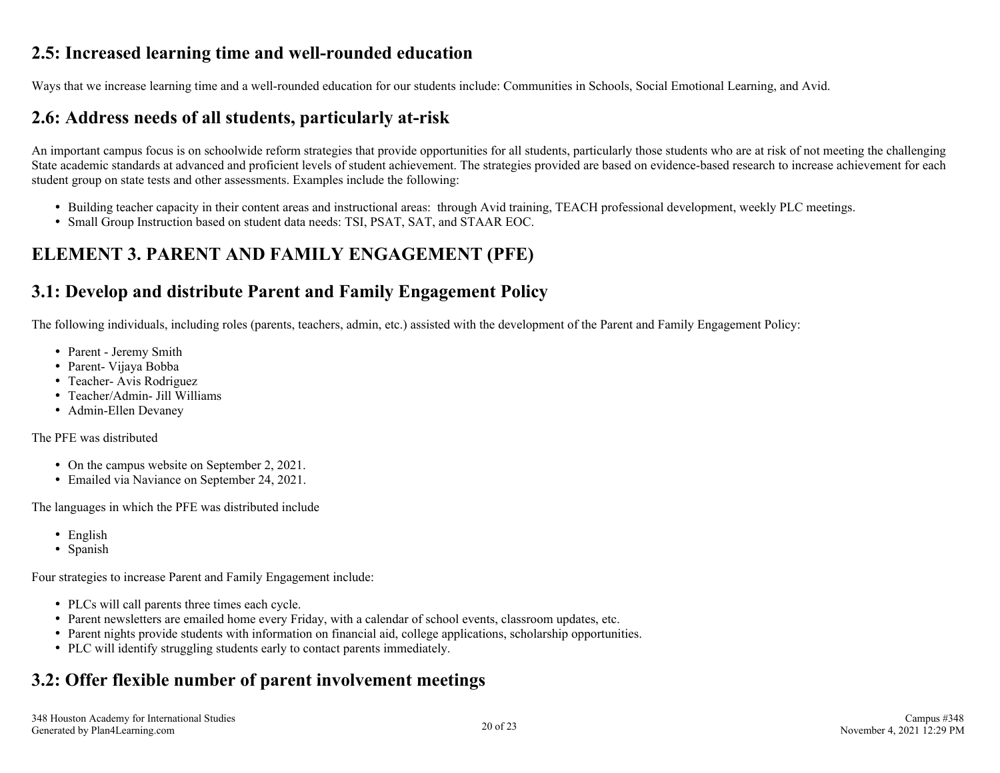### <span id="page-19-0"></span>**2.5: Increased learning time and well-rounded education**

Ways that we increase learning time and a well-rounded education for our students include: Communities in Schools, Social Emotional Learning, and Avid.

### **2.6: Address needs of all students, particularly at-risk**

An important campus focus is on schoolwide reform strategies that provide opportunities for all students, particularly those students who are at risk of not meeting the challenging State academic standards at advanced and proficient levels of student achievement. The strategies provided are based on evidence-based research to increase achievement for each student group on state tests and other assessments. Examples include the following:

- Building teacher capacity in their content areas and instructional areas: through Avid training, TEACH professional development, weekly PLC meetings.
- Small Group Instruction based on student data needs: TSI, PSAT, SAT, and STAAR EOC.

## **ELEMENT 3. PARENT AND FAMILY ENGAGEMENT (PFE)**

## **3.1: Develop and distribute Parent and Family Engagement Policy**

The following individuals, including roles (parents, teachers, admin, etc.) assisted with the development of the Parent and Family Engagement Policy:

- Parent Jeremy Smith
- Parent- Vijaya Bobba
- Teacher- Avis Rodriguez
- Teacher/Admin- Jill Williams
- Admin-Ellen Devaney

The PFE was distributed

- On the campus website on September 2, 2021.
- Emailed via Naviance on September 24, 2021.

The languages in which the PFE was distributed include

- English
- Spanish

Four strategies to increase Parent and Family Engagement include:

- PLCs will call parents three times each cycle.
- Parent newsletters are emailed home every Friday, with a calendar of school events, classroom updates, etc.
- Parent nights provide students with information on financial aid, college applications, scholarship opportunities.
- PLC will identify struggling students early to contact parents immediately.

## **3.2: Offer flexible number of parent involvement meetings**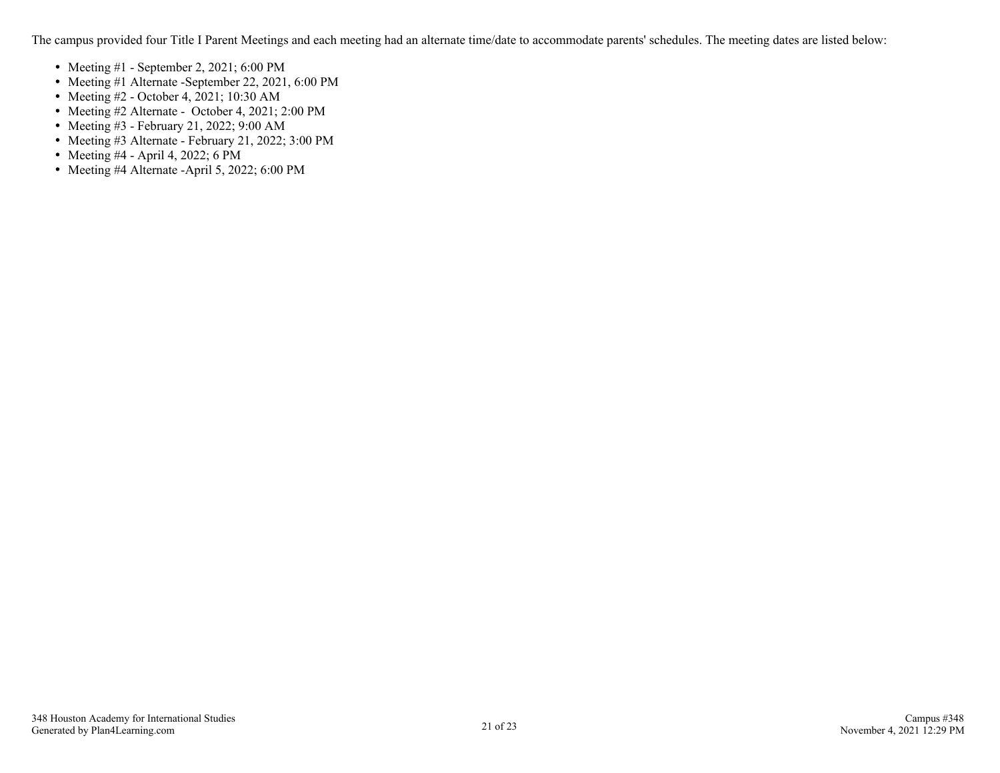The campus provided four Title I Parent Meetings and each meeting had an alternate time/date to accommodate parents' schedules. The meeting dates are listed below:

- Meeting  $#1$  September 2, 2021; 6:00 PM
- Meeting #1 Alternate -September 22, 2021, 6:00 PM
- Meeting #2 October 4, 2021; 10:30 AM
- Meeting #2 Alternate October 4, 2021; 2:00 PM
- Meeting #3 February 21, 2022; 9:00 AM
- Meeting #3 Alternate February 21, 2022; 3:00 PM
- Meeting  $#4$  April 4, 2022; 6 PM
- Meeting #4 Alternate -April 5, 2022; 6:00 PM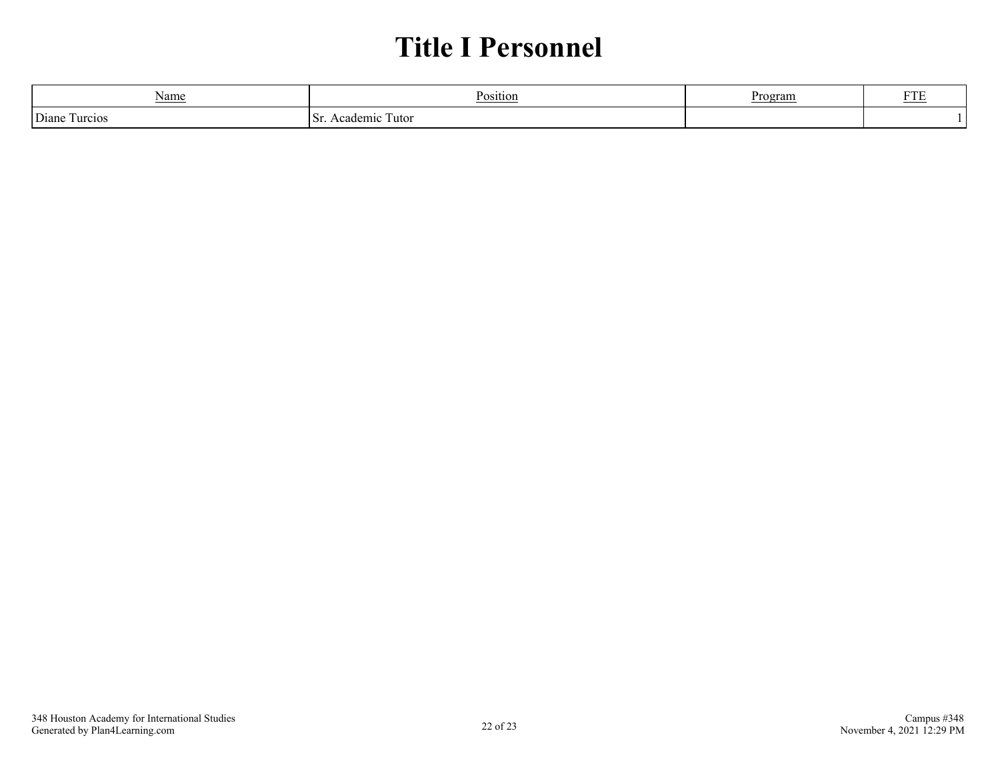## **Title I Personnel**

<span id="page-21-0"></span>

| Name                                        | D.                 | ∩or∙<br>⊻iali | $\overline{\phantom{m}}$ |
|---------------------------------------------|--------------------|---------------|--------------------------|
| $\overline{\phantom{a}}$<br>Diane<br>urcios | demic<br>utor<br>È |               |                          |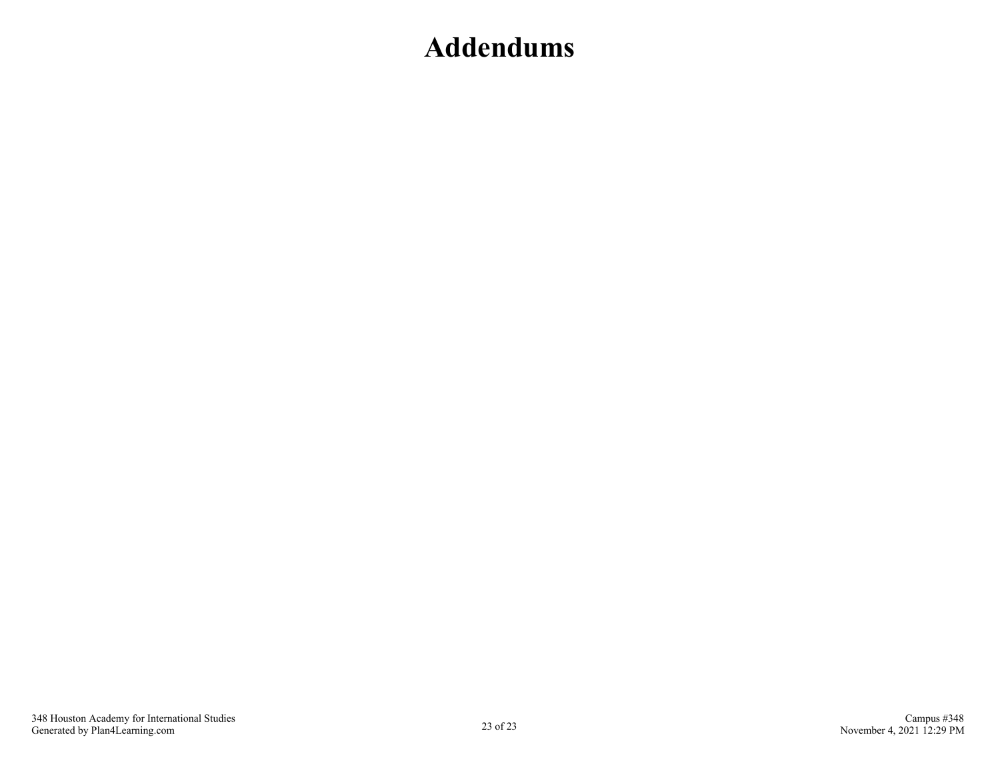## <span id="page-22-0"></span>**Addendums**